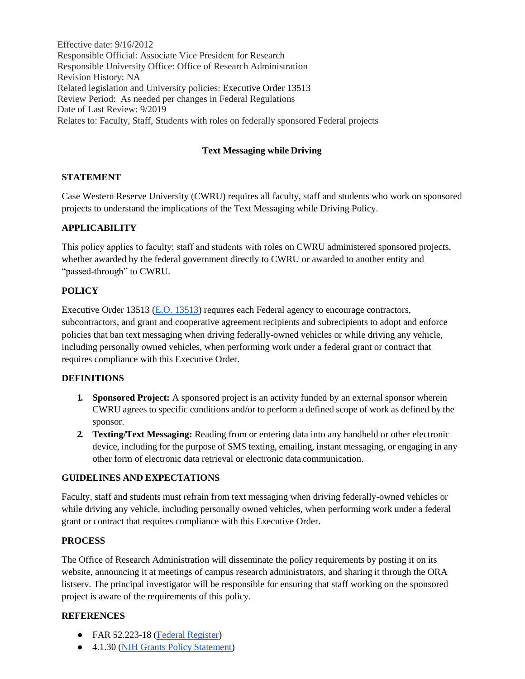Effective date: 9/16/2012 Responsible Official: Associate Vice President for Research Responsible University Office: Office of Research Administration Revision History: NA Related legislation and University policies: Executive Order 13513 Review Period: As needed per changes in Federal Regulations Date of Last Review: 9/2019 Relates to: Faculty, Staff, Students with roles on federally sponsored Federal projects

# **Text Messaging while Driving**

## **STATEMENT**

Case Western Reserve University (CWRU) requires all faculty, staff and students who work on sponsored projects to understand the implications of the Text Messaging while Driving Policy.

### **APPLICABILITY**

This policy applies to faculty; staff and students with roles on CWRU administered sponsored projects, whether awarded by the federal government directly to CWRU or awarded to another entity and "passed-through" to CWRU.

## **POLICY**

Executive Order 13513 [\(E.O. 13513\)](https://www.federalregister.gov/articles/2011/07/05/2011-16676/federal-acquisition-regulation-encouraging-contractor-policies-to-ban-text-messaging-while-driving) requires each Federal agency to encourage contractors, subcontractors, and grant and cooperative agreement recipients and subrecipients to adopt and enforce policies that ban text messaging when driving federally-owned vehicles or while driving any vehicle, including personally owned vehicles, when performing work under a federal grant or contract that requires compliance with this Executive Order.

#### **DEFINITIONS**

- **1. Sponsored Project:** A sponsored project is an activity funded by an external sponsor wherein CWRU agrees to specific conditions and/or to perform a defined scope of work as defined by the sponsor.
- **2. Texting/Text Messaging:** Reading from or entering data into any handheld or other electronic device, including for the purpose of SMS texting, emailing, instant messaging, or engaging in any other form of electronic data retrieval or electronic data communication.

#### **GUIDELINES AND EXPECTATIONS**

Faculty, staff and students must refrain from text messaging when driving federally-owned vehicles or while driving any vehicle, including personally owned vehicles, when performing work under a federal grant or contract that requires compliance with this Executive Order.

#### **PROCESS**

The Office of Research Administration will disseminate the policy requirements by posting it on its website, announcing it at meetings of campus research administrators, and sharing it through the ORA listserv. The principal investigator will be responsible for ensuring that staff working on the sponsored project is aware of the requirements of this policy.

#### **REFERENCES**

- FAR 52.223-18 (Federal [Register\)](http://www.gpo.gov/fdsys/pkg/FR-2011-07-05/pdf/2011-16676.pdf)
- 4.1.30 (NIH Grants Policy [Statement\)](http://grants.nih.gov/grants/policy/nihgps_2010/nihgps_2010.pdf)